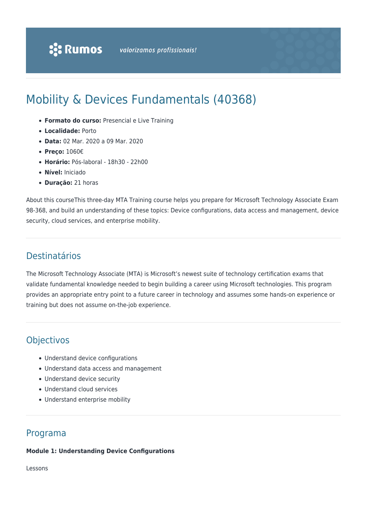# Mobility & Devices Fundamentals (40368)

- **Formato do curso:** Presencial e Live Training
- **Localidade:** Porto
- **Data:** 02 Mar. 2020 a 09 Mar. 2020
- **Preço:** 1060€
- **Horário:** Pós-laboral 18h30 22h00
- **Nível:** Iniciado
- **Duração:** 21 horas

About this courseThis three-day MTA Training course helps you prepare for Microsoft Technology Associate Exam 98-368, and build an understanding of these topics: Device configurations, data access and management, device security, cloud services, and enterprise mobility.

# Destinatários

The Microsoft Technology Associate (MTA) is Microsoft's newest suite of technology certification exams that validate fundamental knowledge needed to begin building a career using Microsoft technologies. This program provides an appropriate entry point to a future career in technology and assumes some hands-on experience or training but does not assume on-the-job experience.

# **Objectivos**

- Understand device configurations
- Understand data access and management
- Understand device security
- Understand cloud services
- Understand enterprise mobility

# Programa

### **Module 1: Understanding Device Configurations**

Lessons